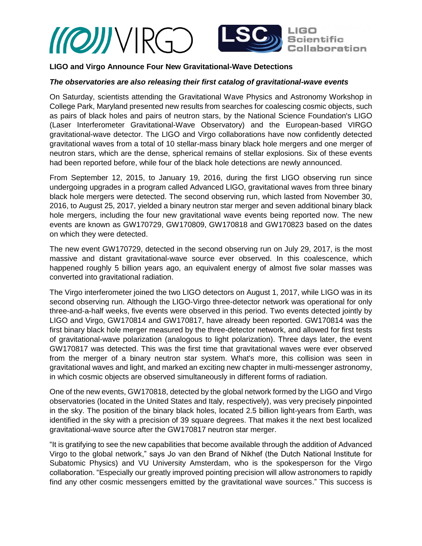

# **LIGO and Virgo Announce Four New Gravitational-Wave Detections**

# *The observatories are also releasing their first catalog of gravitational-wave events*

On Saturday, scientists attending the Gravitational Wave Physics and Astronomy Workshop in College Park, Maryland presented new results from searches for coalescing cosmic objects, such as pairs of black holes and pairs of neutron stars, by the National Science Foundation's LIGO (Laser Interferometer Gravitational-Wave Observatory) and the European-based VIRGO gravitational-wave detector. The LIGO and Virgo collaborations have now confidently detected gravitational waves from a total of 10 stellar-mass binary black hole mergers and one merger of neutron stars, which are the dense, spherical remains of stellar explosions. Six of these events had been reported before, while four of the black hole detections are newly announced.

From September 12, 2015, to January 19, 2016, during the first LIGO observing run since undergoing upgrades in a program called Advanced LIGO, gravitational waves from three binary black hole mergers were detected. The second observing run, which lasted from November 30, 2016, to August 25, 2017, yielded a binary neutron star merger and seven additional binary black hole mergers, including the four new gravitational wave events being reported now. The new events are known as GW170729, GW170809, GW170818 and GW170823 based on the dates on which they were detected.

The new event GW170729, detected in the second observing run on July 29, 2017, is the most massive and distant gravitational-wave source ever observed. In this coalescence, which happened roughly 5 billion years ago, an equivalent energy of almost five solar masses was converted into gravitational radiation.

The Virgo interferometer joined the two LIGO detectors on August 1, 2017, while LIGO was in its second observing run. Although the LIGO-Virgo three-detector network was operational for only three-and-a-half weeks, five events were observed in this period. Two events detected jointly by LIGO and Virgo, GW170814 and GW170817, have already been reported. GW170814 was the first binary black hole merger measured by the three-detector network, and allowed for first tests of gravitational-wave polarization (analogous to light polarization). Three days later, the event GW170817 was detected. This was the first time that gravitational waves were ever observed from the merger of a binary neutron star system. What's more, this collision was seen in gravitational waves and light, and marked an exciting new chapter in multi-messenger astronomy, in which cosmic objects are observed simultaneously in different forms of radiation.

One of the new events, GW170818, detected by the global network formed by the LIGO and Virgo observatories (located in the United States and Italy, respectively), was very precisely pinpointed in the sky. The position of the binary black holes, located 2.5 billion light-years from Earth, was identified in the sky with a precision of 39 square degrees. That makes it the next best localized gravitational-wave source after the GW170817 neutron star merger.

"It is gratifying to see the new capabilities that become available through the addition of Advanced Virgo to the global network," says Jo van den Brand of Nikhef (the Dutch National Institute for Subatomic Physics) and VU University Amsterdam, who is the spokesperson for the Virgo collaboration. "Especially our greatly improved pointing precision will allow astronomers to rapidly find any other cosmic messengers emitted by the gravitational wave sources." This success is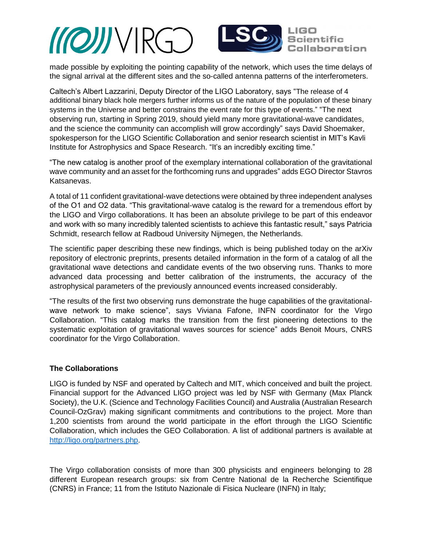



made possible by exploiting the pointing capability of the network, which uses the time delays of the signal arrival at the different sites and the so-called antenna patterns of the interferometers.

Caltech's Albert Lazzarini, Deputy Director of the LIGO Laboratory, says "The release of 4 additional binary black hole mergers further informs us of the nature of the population of these binary systems in the Universe and better constrains the event rate for this type of events." "The next observing run, starting in Spring 2019, should yield many more gravitational-wave candidates, and the science the community can accomplish will grow accordingly" says David Shoemaker, spokesperson for the LIGO Scientific Collaboration and senior research scientist in MIT's Kavli Institute for Astrophysics and Space Research. "It's an incredibly exciting time."

"The new catalog is another proof of the exemplary international collaboration of the gravitational wave community and an asset for the forthcoming runs and upgrades" adds EGO Director Stavros Katsanevas.

A total of 11 confident gravitational-wave detections were obtained by three independent analyses of the O1 and O2 data. "This gravitational-wave catalog is the reward for a tremendous effort by the LIGO and Virgo collaborations. It has been an absolute privilege to be part of this endeavor and work with so many incredibly talented scientists to achieve this fantastic result," says Patricia Schmidt, research fellow at Radboud University Nijmegen, the Netherlands.

The scientific paper describing these new findings, which is being published today on the arXiv repository of electronic preprints, presents detailed information in the form of a catalog of all the gravitational wave detections and candidate events of the two observing runs. Thanks to more advanced data processing and better calibration of the instruments, the accuracy of the astrophysical parameters of the previously announced events increased considerably.

"The results of the first two observing runs demonstrate the huge capabilities of the gravitationalwave network to make science", says Viviana Fafone, INFN coordinator for the Virgo Collaboration. "This catalog marks the transition from the first pioneering detections to the systematic exploitation of gravitational waves sources for science" adds Benoit Mours, CNRS coordinator for the Virgo Collaboration.

## **The Collaborations**

LIGO is funded by NSF and operated by Caltech and MIT, which conceived and built the project. Financial support for the Advanced LIGO project was led by NSF with Germany (Max Planck Society), the U.K. (Science and Technology Facilities Council) and Australia (Australian Research Council-OzGrav) making significant commitments and contributions to the project. More than 1,200 scientists from around the world participate in the effort through the LIGO Scientific Collaboration, which includes the GEO Collaboration. A list of additional partners is available at [http://ligo.org/partners.php.](http://ligo.org/partners.php)

The Virgo collaboration consists of more than 300 physicists and engineers belonging to 28 different European research groups: six from Centre National de la Recherche Scientifique (CNRS) in France; 11 from the Istituto Nazionale di Fisica Nucleare (INFN) in Italy;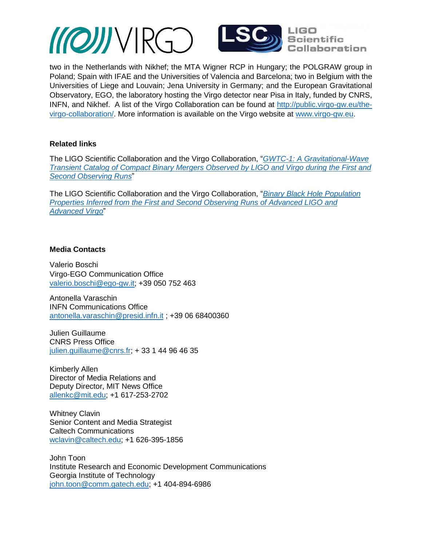*MOJJVIRGO* 



two in the Netherlands with Nikhef; the MTA Wigner RCP in Hungary; the POLGRAW group in Poland; Spain with IFAE and the Universities of Valencia and Barcelona; two in Belgium with the Universities of Liege and Louvain; Jena University in Germany; and the European Gravitational Observatory, EGO, the laboratory hosting the Virgo detector near Pisa in Italy, funded by CNRS, INFN, and Nikhef. A list of the Virgo Collaboration can be found at [http://public.virgo-gw.eu/the](http://public.virgo-gw.eu/the-virgo-collaboration/)[virgo-collaboration/.](http://public.virgo-gw.eu/the-virgo-collaboration/) More information is available on the Virgo website at [www.virgo-gw.eu.](http://www.virgo-gw.eu/)

## **Related links**

The LIGO Scientific Collaboration and the Virgo Collaboration, "*[GWTC-1: A Gravitational-Wave](https://tds.virgo-gw.eu/?call_file=VIR-0863A-18_GWTC1AGravitationalWaveTransie.pdf)  Transient Catalog of [Compact Binary Mergers Observed by LIGO and Virgo](https://tds.virgo-gw.eu/?call_file=VIR-0863A-18_GWTC1AGravitationalWaveTransie.pdf) during the First and [Second Observing Runs](https://tds.virgo-gw.eu/?call_file=VIR-0863A-18_GWTC1AGravitationalWaveTransie.pdf)*"

The LIGO Scientific Collaboration and the Virgo Collaboration, "*[Binary Black Hole Population](https://tds.virgo-gw.eu/?call_file=VIR-0864A-18_BinaryBlackHolePopulationPrope.pdf)  [Properties Inferred from the First and Second Observing Runs of Advanced LIGO and](https://tds.virgo-gw.eu/?call_file=VIR-0864A-18_BinaryBlackHolePopulationPrope.pdf)  [Advanced Virgo](https://tds.virgo-gw.eu/?call_file=VIR-0864A-18_BinaryBlackHolePopulationPrope.pdf)*"

### **Media Contacts**

Valerio Boschi Virgo-EGO Communication Office valerio.boschi@ego-gw.it; +39 050 752 463

Antonella Varaschin INFN Communications Office [antonella.varaschin@presid.infn.it](mailto:antonella.varaschin@presid.infn.it) ; +39 06 68400360

Julien Guillaume CNRS Press Office [julien.guillaume@cnrs.fr;](mailto:julien.guillaume@cnrs.fr) + 33 1 44 96 46 35

Kimberly Allen Director of Media Relations and Deputy Director, MIT News Office [allenkc@mit.edu;](mailto:allenkc@mit.edu) +1 617-253-2702

Whitney Clavin Senior Content and Media Strategist Caltech Communications [wclavin@caltech.edu;](mailto:wclavin@caltech.edu) +1 626-395-1856

John Toon Institute Research and Economic Development Communications Georgia Institute of Technology john.toon@comm.gatech.edu; +1 404-894-6986